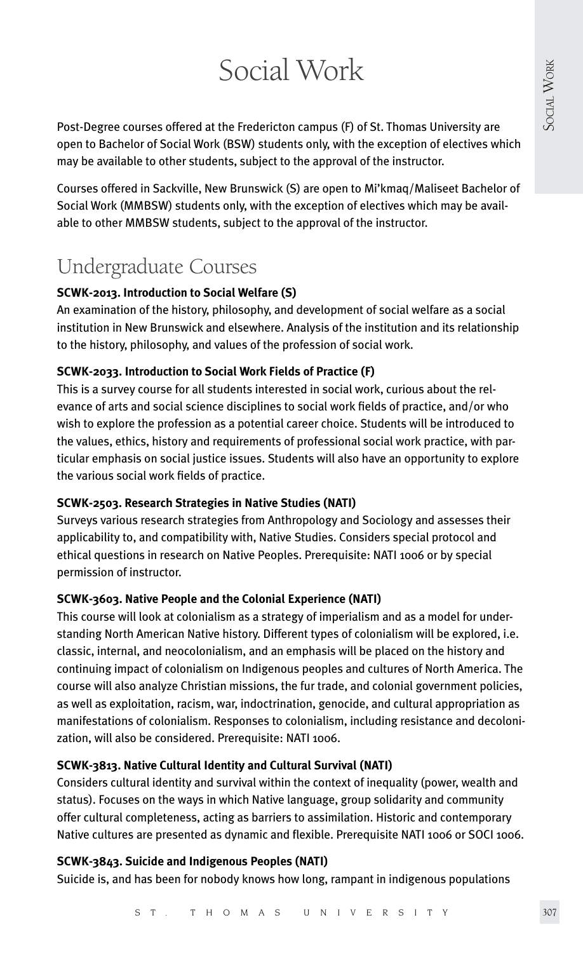# Social Work

Post-Degree courses offered at the Fredericton campus (F) of St. Thomas University are open to Bachelor of Social Work (BSW) students only, with the exception of electives which may be available to other students, subject to the approval of the instructor.

Courses offered in Sackville, New Brunswick (S) are open to Mi'kmaq/Maliseet Bachelor of Social Work (MMBSW) students only, with the exception of electives which may be available to other MMBSW students, subject to the approval of the instructor.

# Undergraduate Courses

### **SCWK-2013. Introduction to Social Welfare (S)**

An examination of the history, philosophy, and development of social welfare as a social institution in New Brunswick and elsewhere. Analysis of the institution and its relationship to the history, philosophy, and values of the profession of social work.

#### **SCWK-2033. Introduction to Social Work Fields of Practice (F)**

This is a survey course for all students interested in social work, curious about the relevance of arts and social science disciplines to social work fields of practice, and/or who wish to explore the profession as a potential career choice. Students will be introduced to the values, ethics, history and requirements of professional social work practice, with particular emphasis on social justice issues. Students will also have an opportunity to explore the various social work fields of practice.

#### **SCWK-2503. Research Strategies in Native Studies (NATI)**

Surveys various research strategies from Anthropology and Sociology and assesses their applicability to, and compatibility with, Native Studies. Considers special protocol and ethical questions in research on Native Peoples. Prerequisite: NATI 1006 or by special permission of instructor.

#### **SCWK-3603. Native People and the Colonial Experience (NATI)**

This course will look at colonialism as a strategy of imperialism and as a model for understanding North American Native history. Different types of colonialism will be explored, i.e. classic, internal, and neocolonialism, and an emphasis will be placed on the history and continuing impact of colonialism on Indigenous peoples and cultures of North America. The course will also analyze Christian missions, the fur trade, and colonial government policies, as well as exploitation, racism, war, indoctrination, genocide, and cultural appropriation as manifestations of colonialism. Responses to colonialism, including resistance and decolonization, will also be considered. Prerequisite: NATI 1006.

## **SCWK-3813. Native Cultural Identity and Cultural Survival (NATI)**

Considers cultural identity and survival within the context of inequality (power, wealth and status). Focuses on the ways in which Native language, group solidarity and community offer cultural completeness, acting as barriers to assimilation. Historic and contemporary Native cultures are presented as dynamic and flexible. Prerequisite NATI 1006 or SOCI 1006.

#### **SCWK-3843. Suicide and Indigenous Peoples (NATI)**

Suicide is, and has been for nobody knows how long, rampant in indigenous populations